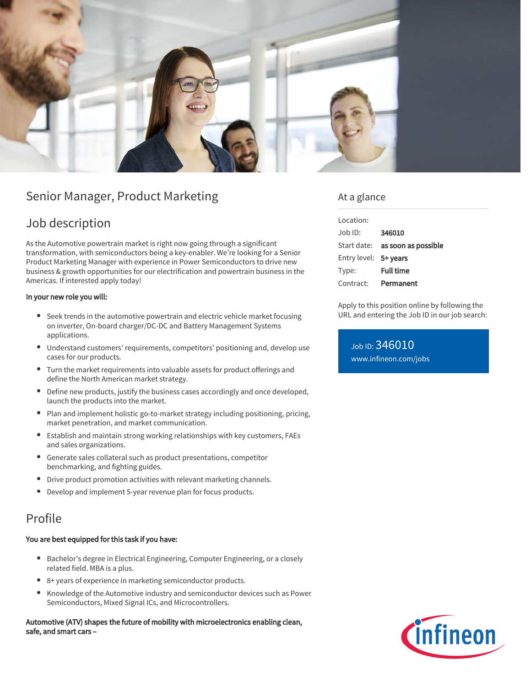

# Senior Manager, Product Marketing

## Job description

As the Automotive powertrain market is right now going through a significant transformation, with semiconductors being a key-enabler. We're looking for a Senior Product Marketing Manager with experience in Power Semiconductors to drive new business & growth opportunities for our electrification and powertrain business in the Americas. If interested apply today!

#### In your new role you will:

- Seek trends in the automotive powertrain and electric vehicle market focusing on inverter, On-board charger/DC-DC and Battery Management Systems applications.
- Understand customers' requirements, competitors' positioning and, develop use cases for our products.
- Turn the market requirements into valuable assets for product offerings and define the North American market strategy.
- Define new products, justify the business cases accordingly and once developed, launch the products into the market.
- $\bullet$ Plan and implement holistic go-to-market strategy including positioning, pricing, market penetration, and market communication.
- Establish and maintain strong working relationships with key customers, FAEs and sales organizations.
- Generate sales collateral such as product presentations, competitor benchmarking, and fighting guides.
- Drive product promotion activities with relevant marketing channels.
- Develop and implement 5-year revenue plan for focus products.

### Profile

#### You are best equipped for this task if you have:

- Bachelor's degree in Electrical Engineering, Computer Engineering, or a closely related field. MBA is a plus.
- 8+ years of experience in marketing semiconductor products.
- $\bullet$ Knowledge of the Automotive industry and semiconductor devices such as Power Semiconductors, Mixed Signal ICs, and Microcontrollers.

Automotive (ATV) shapes the future of mobility with microelectronics enabling clean, safe, and smart cars –

### At a glance

| Location:             |                                        |
|-----------------------|----------------------------------------|
| Job ID:               | 346010                                 |
|                       | Start date: <b>as soon as possible</b> |
| Entry level: 5+ years |                                        |
| Type:                 | <b>Full time</b>                       |
| Contract:             | Permanent                              |

Apply to this position online by following the URL and entering the Job ID in our job search:

Job ID: 346010 [www.infineon.com/jobs](https://www.infineon.com/jobs)